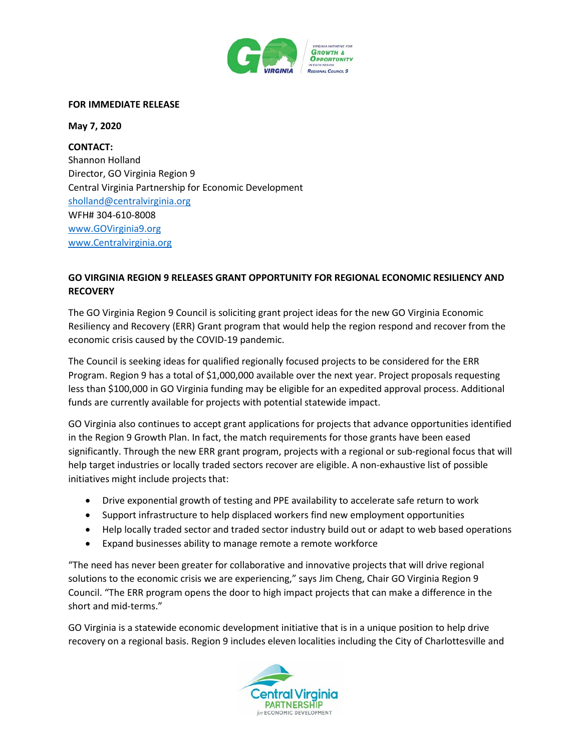

## **FOR IMMEDIATE RELEASE**

**May 7, 2020**

**CONTACT:** Shannon Holland Director, GO Virginia Region 9 Central Virginia Partnership for Economic Development [sholland@centralvirginia.org](mailto:sholland@centralvirginia.org) WFH# 304-610-8008 [www.GOVirginia9.org](http://www.govirginia9.org/) [www.Centralvirginia.org](http://www.centralvirginia.org/)

## **GO VIRGINIA REGION 9 RELEASES GRANT OPPORTUNITY FOR REGIONAL ECONOMIC RESILIENCY AND RECOVERY**

The GO Virginia Region 9 Council is soliciting grant project ideas for the new GO Virginia Economic Resiliency and Recovery (ERR) Grant program that would help the region respond and recover from the economic crisis caused by the COVID-19 pandemic.

The Council is seeking ideas for qualified regionally focused projects to be considered for the ERR Program. Region 9 has a total of \$1,000,000 available over the next year. Project proposals requesting less than \$100,000 in GO Virginia funding may be eligible for an expedited approval process. Additional funds are currently available for projects with potential statewide impact.

GO Virginia also continues to accept grant applications for projects that advance opportunities identified in the Region 9 Growth Plan. In fact, the match requirements for those grants have been eased significantly. Through the new ERR grant program, projects with a regional or sub-regional focus that will help target industries or locally traded sectors recover are eligible. A non-exhaustive list of possible initiatives might include projects that:

- Drive exponential growth of testing and PPE availability to accelerate safe return to work
- Support infrastructure to help displaced workers find new employment opportunities
- Help locally traded sector and traded sector industry build out or adapt to web based operations
- Expand businesses ability to manage remote a remote workforce

"The need has never been greater for collaborative and innovative projects that will drive regional solutions to the economic crisis we are experiencing," says Jim Cheng, Chair GO Virginia Region 9 Council. "The ERR program opens the door to high impact projects that can make a difference in the short and mid-terms."

GO Virginia is a statewide economic development initiative that is in a unique position to help drive recovery on a regional basis. Region 9 includes eleven localities including the City of Charlottesville and